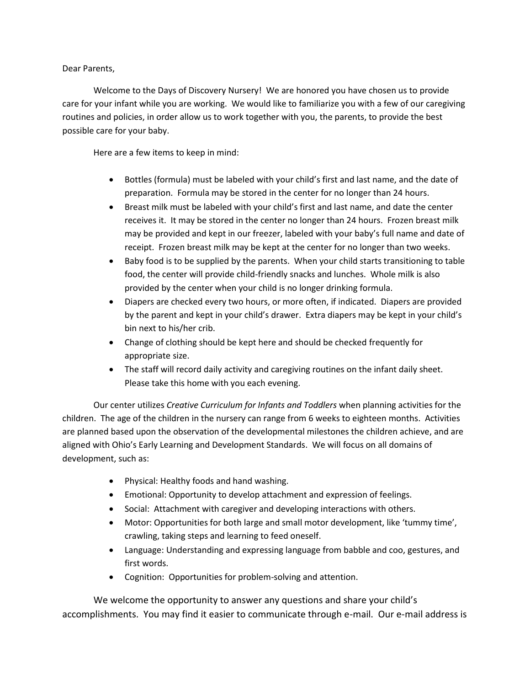Dear Parents,

Welcome to the Days of Discovery Nursery! We are honored you have chosen us to provide care for your infant while you are working. We would like to familiarize you with a few of our caregiving routines and policies, in order allow us to work together with you, the parents, to provide the best possible care for your baby.

Here are a few items to keep in mind:

- Bottles (formula) must be labeled with your child's first and last name, and the date of preparation. Formula may be stored in the center for no longer than 24 hours.
- Breast milk must be labeled with your child's first and last name, and date the center receives it. It may be stored in the center no longer than 24 hours. Frozen breast milk may be provided and kept in our freezer, labeled with your baby's full name and date of receipt. Frozen breast milk may be kept at the center for no longer than two weeks.
- Baby food is to be supplied by the parents. When your child starts transitioning to table food, the center will provide child-friendly snacks and lunches. Whole milk is also provided by the center when your child is no longer drinking formula.
- Diapers are checked every two hours, or more often, if indicated. Diapers are provided by the parent and kept in your child's drawer. Extra diapers may be kept in your child's bin next to his/her crib.
- Change of clothing should be kept here and should be checked frequently for appropriate size.
- The staff will record daily activity and caregiving routines on the infant daily sheet. Please take this home with you each evening.

Our center utilizes *Creative Curriculum for Infants and Toddlers* when planning activities for the children. The age of the children in the nursery can range from 6 weeks to eighteen months. Activities are planned based upon the observation of the developmental milestones the children achieve, and are aligned with Ohio's Early Learning and Development Standards. We will focus on all domains of development, such as:

- Physical: Healthy foods and hand washing.
- Emotional: Opportunity to develop attachment and expression of feelings.
- Social: Attachment with caregiver and developing interactions with others.
- Motor: Opportunities for both large and small motor development, like 'tummy time', crawling, taking steps and learning to feed oneself.
- Language: Understanding and expressing language from babble and coo, gestures, and first words.
- Cognition: Opportunities for problem-solving and attention.

We welcome the opportunity to answer any questions and share your child's accomplishments. You may find it easier to communicate through e-mail. Our e-mail address is